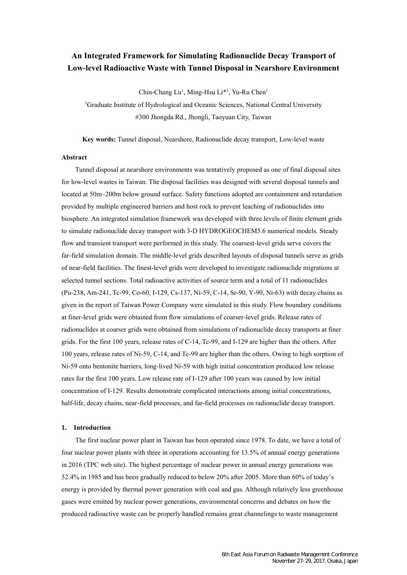# **An Integrated Framework for Simulating Radionuclide Decay Transport of Low-level Radioactive Waste with Tunnel Disposal in Nearshore Environment**

Chin-Chang Lu<sup>1</sup>, Ming-Hsu Li<sup>\*1</sup>, Yu-Ru Chen<sup>1</sup>

<sup>1</sup>Graduate Institute of Hydrological and Oceanic Sciences, National Central University #300 Jhongda Rd., Jhongli, Taoyuan City, Taiwan

**Key words:** Tunnel disposal, Nearshore, Radionuclide decay transport, Low-level waste

## **Abstract**

Tunnel disposal at nearshore environments was tentatively proposed as one of final disposal sites for low-level wastes in Taiwan. The disposal facilities was designed with several disposal tunnels and located at 50m~200m below ground surface. Safety functions adopted are containment and retardation provided by multiple engineered barriers and host rock to prevent leaching of radionuclides into biosphere. An integrated simulation framework was developed with three levels of finite element grids to simulate radionuclide decay transport with 3-D HYDROGEOCHEM5.6 numerical models. Steady flow and transient transport were performed in this study. The coarsest-level grids serve covers the far-field simulation domain. The middle-level grids described layouts of disposal tunnels serve as grids of near-field facilities. The finest-level grids were developed to investigate radionuclide migrations at selected tunnel sections. Total radioactive activities of source term and a total of 11 radionuclides (Pu-238, Am-241, Tc-99, Co-60, I-129, Cs-137, Ni-59, C-14, Sr-90, Y-90, Ni-63) with decay chains as given in the report of Taiwan Power Company were simulated in this study. Flow boundary conditions at finer-level grids were obtained from flow simulations of coarser-level grids. Release rates of radionuclides at coarser grids were obtained from simulations of radionuclide decay transports at finer grids. For the first 100 years, release rates of C-14, Tc-99, and I-129 are higher than the others. After 100 years, release rates of Ni-59, C-14, and Tc-99 are higher than the others. Owing to high sorption of Ni-59 onto bentonite barriers, long-lived Ni-59 with high initial concentration produced low release rates for the first 100 years. Low release rate of I-129 after 100 years was caused by low initial concentration of I-129. Results demonstrate complicated interactions among initial concentrations, half-life, decay chains, near-field processes, and far-field processes on radionuclide decay transport.

#### **1. Introduction**

The first nuclear power plant in Taiwan has been operated since 1978. To date, we have a total of four nuclear power plants with three in operations accounting for 13.5% of annual energy generations in 2016 (TPC web site). The highest percentage of nuclear power in annual energy generations was 52.4% in 1985 and has been gradually reduced to below 20% after 2005. More than 60% of today's energy is provided by thermal power generation with coal and gas. Although relatively less greenhouse gases were emitted by nuclear power generations, environmental concerns and debates on how the produced radioactive waste can be properly handled remains great channelings to waste management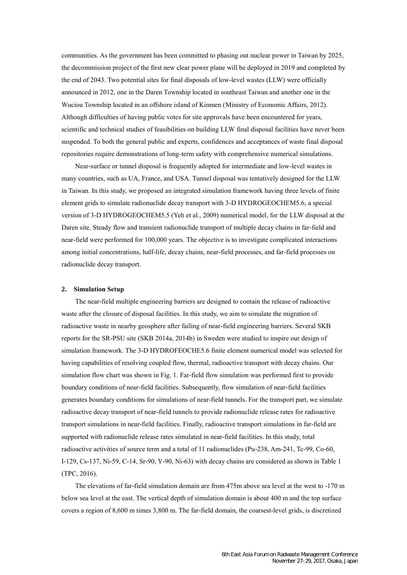communities. As the government has been committed to phasing out nuclear power in Taiwan by 2025, the decommission project of the first new clear power plane will be deployed in 2019 and completed by the end of 2043. Two potential sites for final disposals of low-level wastes (LLW) were officially announced in 2012, one in the Daren Township located in southeast Taiwan and another one in the Wuciou Township located in an offshore island of Kinmen (Ministry of Economic Affairs, 2012). Although difficulties of having public votes for site approvals have been encountered for years, scientific and technical studies of feasibilities on building LLW final disposal facilities have never been suspended. To both the general public and experts, confidences and acceptances of waste final disposal repositories require demonstrations of long-term safety with comprehensive numerical simulations.

Near-surface or tunnel disposal is frequently adopted for intermediate and low-level wastes in many countries, such as UA, France, and USA. Tunnel disposal was tentatively designed for the LLW in Taiwan. In this study, we proposed an integrated simulation framework having three levels of finite element grids to simulate radionuclide decay transport with 3-D HYDROGEOCHEM5.6, a special version of 3-D HYDROGEOCHEM5.5 (Yeh et al., 2009) numerical model, for the LLW disposal at the Daren site. Steady flow and transient radionuclide transport of multiple decay chains in far-field and near-field were performed for 100,000 years. The objective is to investigate complicated interactions among initial concentrations, half-life, decay chains, near-field processes, and far-field processes on radionuclide decay transport.

#### **2. Simulation Setup**

The near-field multiple engineering barriers are designed to contain the release of radioactive waste after the closure of disposal facilities. In this study, we aim to simulate the migration of radioactive waste in nearby geosphere after failing of near-field engineering barriers. Several SKB reports for the SR-PSU site (SKB 2014a, 2014b) in Sweden were studied to inspire our design of simulation framework. The 3-D HYDROFEOCHE5.6 finite element numerical model was selected for having capabilities of resolving coupled flow, thermal, radioactive transport with decay chains. Our simulation flow chart was shown in Fig. 1. Far-field flow simulation was performed first to provide boundary conditions of near-field facilities. Subsequently, flow simulation of near-field facilities generates boundary conditions for simulations of near-field tunnels. For the transport part, we simulate radioactive decay transport of near-field tunnels to provide radionuclide release rates for radioactive transport simulations in near-field facilities. Finally, radioactive transport simulations in far-field are supported with radionuclide release rates simulated in near-field facilities. In this study, total radioactive activities of source term and a total of 11 radionuclides (Pu-238, Am-241, Tc-99, Co-60, I-129, Cs-137, Ni-59, C-14, Sr-90, Y-90, Ni-63) with decay chains are considered as shown in Table 1 (TPC, 2016).

The elevations of far-field simulation domain are from 475m above sea level at the west to -170 m below sea level at the east. The vertical depth of simulation domain is about 400 m and the top surface covers a region of 8,600 m times 3,800 m. The far-field domain, the coarsest-level grids, is discretized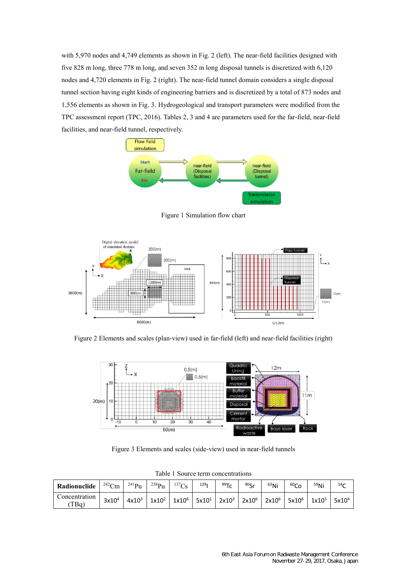with 5,970 nodes and 4,749 elements as shown in Fig. 2 (left). The near-field facilities designed with five 828 m long, three 778 m long, and seven 352 m long disposal tunnels is discretized with 6,120 nodes and 4,720 elements in Fig. 2 (right). The near-field tunnel domain considers a single disposal tunnel section having eight kinds of engineering barriers and is discretized by a total of 873 nodes and 1,556 elements as shown in Fig. 3. Hydrogeological and transport parameters were modified from the TPC assessment report (TPC, 2016). Tables 2, 3 and 4 are parameters used for the far-field, near-field facilities, and near-field tunnel, respectively.



Figure 1 Simulation flow chart



Figure 2 Elements and scales (plan-view) used in far-field (left) and near-field facilities (right)



Figure 3 Elements and scales (side-view) used in near-field tunnels

| <b>Radionuclide</b> $242 \text{Cm}$ $241 \text{Pu}$ |                                                                                                                                                                                              | $^{238}Pu$ $^{137}Cs$ | 129 <sub>1</sub> | 99Tc | $90c_r$ | $63$ Ni | 60 <sub>Co</sub> | <sup>59</sup> Ni | 14 $\sim$ |
|-----------------------------------------------------|----------------------------------------------------------------------------------------------------------------------------------------------------------------------------------------------|-----------------------|------------------|------|---------|---------|------------------|------------------|-----------|
| Concentration  <br>T Bq                             | $3x10^4$ 4x10 <sup>3</sup> 1x10 <sup>2</sup> 1x10 <sup>6</sup> 5x10 <sup>1</sup> 2x10 <sup>3</sup> 2x10 <sup>6</sup> 2x10 <sup>6</sup> 5x10 <sup>6</sup> 1x10 <sup>5</sup> 5x10 <sup>4</sup> |                       |                  |      |         |         |                  |                  |           |

Table 1 Source term concentrations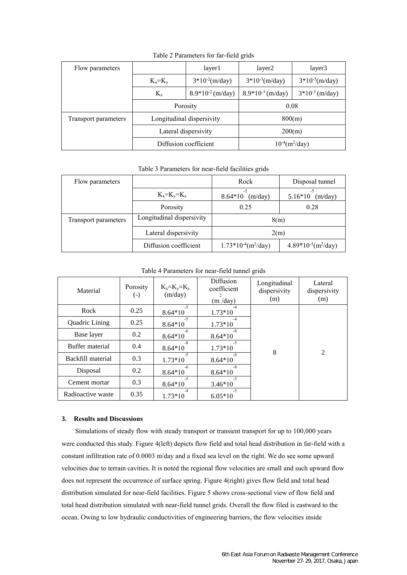| Flow parameters      |                           | layer1                | layer2                          | layer3              |  |
|----------------------|---------------------------|-----------------------|---------------------------------|---------------------|--|
|                      | $K_x = K_y$               | $3*10-2(m/day)$       | $3*10^{-3}$ (m/day)             | $3*10-5(m/day)$     |  |
|                      | $K_{z}$                   | $8.9*10-2 (m/day)$    | $8.9*10^{-3}$ (m/day)           | $3*10^{-5}$ (m/day) |  |
|                      |                           | Porosity              | 0.08                            |                     |  |
| Transport parameters | Longitudinal dispersivity |                       | 800(m)                          |                     |  |
|                      |                           | Lateral dispersivity  | 200(m)                          |                     |  |
|                      |                           | Diffusion coefficient | $10^{-4}$ (m <sup>2</sup> /day) |                     |  |

Table 2 Parameters for far-field grids

Table 3 Parameters for near-field facilities grids

| Flow parameters      |                           | Rock                         | Disposal tunnel              |  |
|----------------------|---------------------------|------------------------------|------------------------------|--|
|                      | $K_x = K_y = K_z$         | $-5$<br>$8.64*10$<br>(m/day) | $-5$<br>$5.16*10$<br>(m/day) |  |
|                      | Porosity                  | 0.25                         | 0.28                         |  |
| Transport parameters | Longitudinal dispersivity | 8(m)                         |                              |  |
|                      | Lateral dispersivity      | 2(m)                         |                              |  |
|                      | Diffusion coefficient     | $1.73*10-4(m2/day)$          | $4.89*10-5(m2/day)$          |  |

Table 4 Parameters for near-field tunnel grids

| Material          | Porosity<br>$(\text{-})$ | $K_x=K_y=K_z$<br>(m/day) | <b>Diffusion</b><br>coefficient<br>(m / day) | Longitudinal<br>dispersivity<br>(m) | Lateral<br>dispersivity<br>(m) |  |
|-------------------|--------------------------|--------------------------|----------------------------------------------|-------------------------------------|--------------------------------|--|
| Rock              | 0.25                     | $-5$<br>$8.64*10$        | -4<br>$1.73*10$                              |                                     |                                |  |
| Quadric Lining    | 0.25                     | $-5$<br>$8.64*10$        | $-4$<br>$1.73*10$                            |                                     |                                |  |
| Base layer        | 0.2                      | -6<br>$8.64*10$          | $-8$<br>$8.64*10$                            |                                     |                                |  |
| Buffer material   | 0.4                      | $-8$<br>$8.64*10$        | $-5$<br>$1.73*10$                            | 8                                   | 2                              |  |
| Backfill material | 0.3                      | $-5$<br>$1.73*10$        | $-6$<br>$8.64*10$                            |                                     |                                |  |
| Disposal          | 0.2                      | -6<br>$8.64*10$          | $-8$<br>$8.64*10$                            |                                     |                                |  |
| Cement mortar     | 0.3                      | $-5$<br>$8.64*10$        | $-5$<br>$3.46*10$                            |                                     |                                |  |
| Radioactive waste | 0.35                     | $-4$<br>$1.73*10$        | $-5$<br>$6.05*10$                            |                                     |                                |  |

## **3. Results and Discussions**

Simulations of steady flow with steady transport or transient transport for up to 100,000 years were conducted this study. Figure 4(left) depicts flow field and total head distribution in far-field with a constant infiltration rate of 0.0003 m/day and a fixed sea level on the right. We do see some upward velocities due to terrain cavities. It is noted the regional flow velocities are small and such upward flow does not represent the occurrence of surface spring. Figure 4(right) gives flow field and total head distribution simulated for near-field facilities. Figure 5 shows cross-sectional view of flow field and total head distribution simulated with near-field tunnel grids. Overall the flow filed is eastward to the ocean. Owing to low hydraulic conductivities of engineering barriers, the flow velocities inside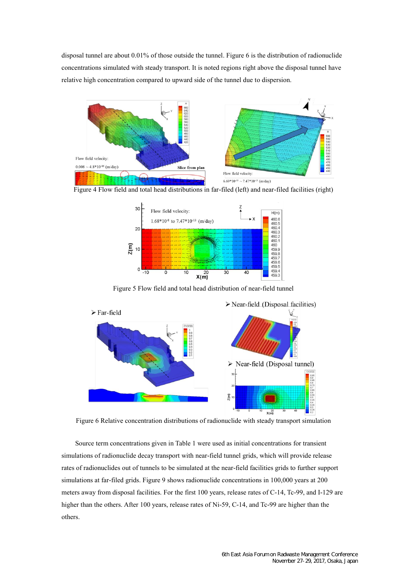disposal tunnel are about 0.01% of those outside the tunnel. Figure 6 is the distribution of radionuclide concentrations simulated with steady transport. It is noted regions right above the disposal tunnel have relative high concentration compared to upward side of the tunnel due to dispersion.



Figure 4 Flow field and total head distributions in far-filed (left) and near-filed facilities (right)



Figure 5 Flow field and total head distribution of near-field tunnel



Figure 6 Relative concentration distributions of radionuclide with steady transport simulation

Source term concentrations given in Table 1 were used as initial concentrations for transient simulations of radionuclide decay transport with near-field tunnel grids, which will provide release rates of radionuclides out of tunnels to be simulated at the near-field facilities grids to further support simulations at far-filed grids. Figure 9 shows radionuclide concentrations in 100,000 years at 200 meters away from disposal facilities. For the first 100 years, release rates of C-14, Tc-99, and I-129 are higher than the others. After 100 years, release rates of Ni-59, C-14, and Tc-99 are higher than the others.